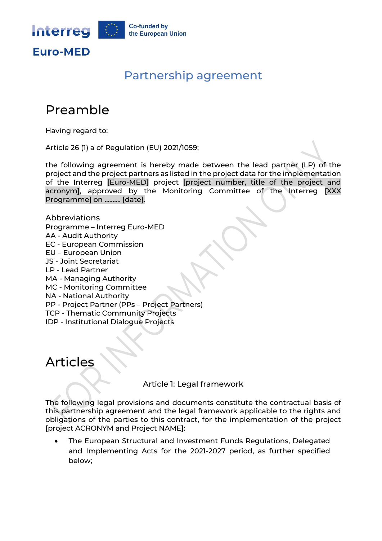

### Partnership agreement

# Preamble

Having regard to:

Article 26 (1) a of Regulation (EU) 2021/1059;

the following agreement is hereby made between the lead partner (LP) of the project and the project partners as listed in the project data for the implementation of the Interreg [Euro-MED] project [project number, title of the project and acronym], approved by the Monitoring Committee of the Interreg [XXX Programme] on .......... [date].

Abbreviations Programme – Interreg Euro-MED AA - Audit Authority EC - European Commission EU – European Union JS - Joint Secretariat LP - Lead Partner MA - Managing Authority MC - Monitoring Committee NA - National Authority PP - Project Partner (PPs – Project Partners) TCP - Thematic Community Projects IDP - Institutional Dialogue Projects

# Articles

Article 1: Legal framework

The following legal provisions and documents constitute the contractual basis of this partnership agreement and the legal framework applicable to the rights and obligations of the parties to this contract, for the implementation of the project [project ACRONYM and Project NAME]:

• The European Structural and Investment Funds Regulations, Delegated and Implementing Acts for the 2021-2027 period, as further specified below;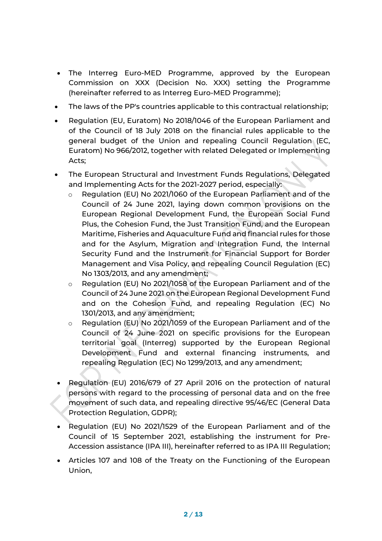- The Interreg Euro-MED Programme, approved by the European Commission on XXX (Decision No. XXX) setting the Programme (hereinafter referred to as Interreg Euro-MED Programme);
- The laws of the PP's countries applicable to this contractual relationship;
- Regulation (EU, Euratom) No 2018/1046 of the European Parliament and of the Council of 18 July 2018 on the financial rules applicable to the general budget of the Union and repealing Council Regulation (EC, Euratom) No 966/2012, together with related Delegated or Implementing Acts;
- The European Structural and Investment Funds Regulations, Delegated and Implementing Acts for the 2021-2027 period, especially:
	- o Regulation (EU) No 2021/1060 of the European Parliament and of the Council of 24 June 2021, laying down common provisions on the European Regional Development Fund, the European Social Fund Plus, the Cohesion Fund, the Just Transition Fund, and the European Maritime, Fisheries and Aquaculture Fund and financial rules for those and for the Asylum, Migration and Integration Fund, the Internal Security Fund and the Instrument for Financial Support for Border Management and Visa Policy, and repealing Council Regulation (EC) No 1303/2013, and any amendment;
	- o Regulation (EU) No 2021/1058 of the European Parliament and of the Council of 24 June 2021 on the European Regional Development Fund and on the Cohesion Fund, and repealing Regulation (EC) No 1301/2013, and any amendment;
	- o Regulation (EU) No 2021/1059 of the European Parliament and of the Council of 24 June 2021 on specific provisions for the European territorial goal (Interreg) supported by the European Regional Development Fund and external financing instruments, and repealing Regulation (EC) No 1299/2013, and any amendment;
- Regulation (EU) 2016/679 of 27 April 2016 on the protection of natural persons with regard to the processing of personal data and on the free movement of such data, and repealing directive 95/46/EC (General Data Protection Regulation, GDPR);
- Regulation (EU) No 2021/1529 of the European Parliament and of the Council of 15 September 2021, establishing the instrument for Pre-Accession assistance (IPA III), hereinafter referred to as IPA III Regulation;
- Articles 107 and 108 of the Treaty on the Functioning of the European Union,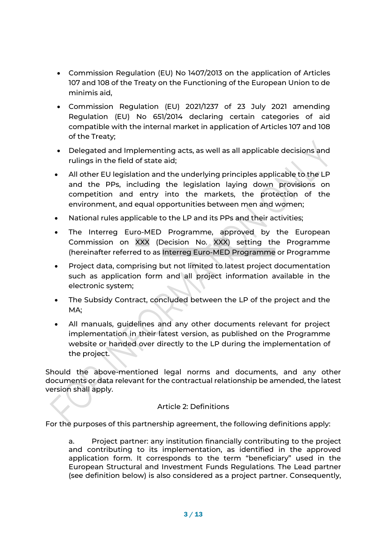- Commission Regulation (EU) No 1407/2013 on the application of Articles 107 and 108 of the Treaty on the Functioning of the European Union to de minimis aid,
- Commission Regulation (EU) 2021/1237 of 23 July 2021 amending Regulation (EU) No 651/2014 declaring certain categories of aid compatible with the internal market in application of Articles 107 and 108 of the Treaty;
- Delegated and Implementing acts, as well as all applicable decisions and rulings in the field of state aid;
- All other EU legislation and the underlying principles applicable to the LP and the PPs, including the legislation laying down provisions on competition and entry into the markets, the protection of the environment, and equal opportunities between men and women;
- National rules applicable to the LP and its PPs and their activities;
- The Interreg Euro-MED Programme, approved by the European Commission on XXX (Decision No. XXX) setting the Programme (hereinafter referred to as Interreg Euro-MED Programme or Programme
- Project data, comprising but not limited to latest project documentation such as application form and all project information available in the electronic system;
- The Subsidy Contract, concluded between the LP of the project and the MA;
- All manuals, guidelines and any other documents relevant for project implementation in their latest version, as published on the Programme website or handed over directly to the LP during the implementation of the project.

Should the above-mentioned legal norms and documents, and any other documents or data relevant for the contractual relationship be amended, the latest version shall apply.

#### Article 2: Definitions

For the purposes of this partnership agreement, the following definitions apply:

a. Project partner: any institution financially contributing to the project and contributing to its implementation, as identified in the approved application form. It corresponds to the term "beneficiary" used in the European Structural and Investment Funds Regulations. The Lead partner (see definition below) is also considered as a project partner. Consequently,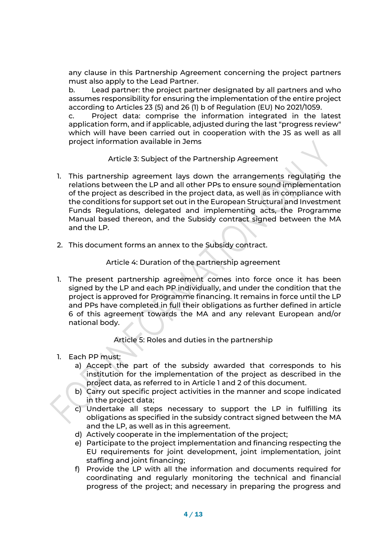any clause in this Partnership Agreement concerning the project partners must also apply to the Lead Partner.

b. Lead partner: the project partner designated by all partners and who assumes responsibility for ensuring the implementation of the entire project according to Articles 23 (5) and 26 (1) b of Regulation (EU) No 2021/1059.

c. Project data: comprise the information integrated in the latest application form, and if applicable, adjusted during the last "progress review" which will have been carried out in cooperation with the JS as well as all project information available in Jems

Article 3: Subject of the Partnership Agreement

- 1. This partnership agreement lays down the arrangements regulating the relations between the LP and all other PPs to ensure sound implementation of the project as described in the project data, as well as in compliance with the conditions for support set out in the European Structural and Investment Funds Regulations, delegated and implementing acts, the Programme Manual based thereon, and the Subsidy contract signed between the MA and the LP.
- 2. This document forms an annex to the Subsidy contract.

#### Article 4: Duration of the partnership agreement

1. The present partnership agreement comes into force once it has been signed by the LP and each PP individually, and under the condition that the project is approved for Programme financing. It remains in force until the LP and PPs have completed in full their obligations as further defined in article 6 of this agreement towards the MA and any relevant European and/or national body.

Article 5: Roles and duties in the partnership

- 1. Each PP must:
	- a) Accept the part of the subsidy awarded that corresponds to his institution for the implementation of the project as described in the project data, as referred to in Article 1 and 2 of this document.
	- b) Carry out specific project activities in the manner and scope indicated in the project data;
	- c) Undertake all steps necessary to support the LP in fulfilling its obligations as specified in the subsidy contract signed between the MA and the LP, as well as in this agreement.
	- d) Actively cooperate in the implementation of the project;
	- e) Participate to the project implementation and financing respecting the EU requirements for joint development, joint implementation, joint staffing and joint financing;
	- f) Provide the LP with all the information and documents required for coordinating and regularly monitoring the technical and financial progress of the project; and necessary in preparing the progress and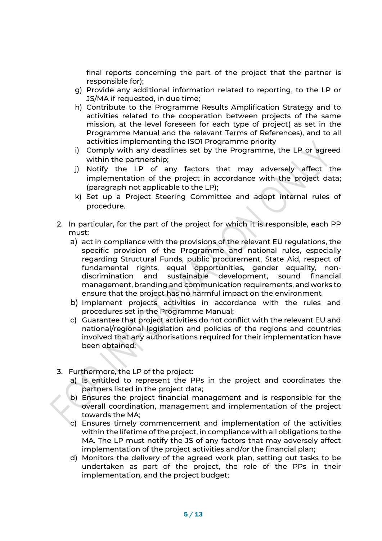final reports concerning the part of the project that the partner is responsible for);

- g) Provide any additional information related to reporting, to the LP or JS/MA if requested, in due time;
- h) Contribute to the Programme Results Amplification Strategy and to activities related to the cooperation between projects of the same mission, at the level foreseen for each type of project( as set in the Programme Manual and the relevant Terms of References), and to all activities implementing the ISO1 Programme priority
- i) Comply with any deadlines set by the Programme, the LP or agreed within the partnership;
- j) Notify the LP of any factors that may adversely affect the implementation of the project in accordance with the project data; (paragraph not applicable to the LP);
- k) Set up a Project Steering Committee and adopt internal rules of procedure.
- 2. In particular, for the part of the project for which it is responsible, each PP must:
	- a) act in compliance with the provisions of the relevant EU regulations, the specific provision of the Programme and national rules, especially regarding Structural Funds, public procurement, State Aid, respect of fundamental rights, equal opportunities, gender equality, nondiscrimination and sustainable development, sound financial management, branding and communication requirements, and works to ensure that the project has no harmful impact on the environment
	- b) Implement projects activities in accordance with the rules and procedures set in the Programme Manual;
	- c) Guarantee that project activities do not conflict with the relevant EU and national/regional legislation and policies of the regions and countries involved that any authorisations required for their implementation have been obtained;
- 3. Furthermore, the LP of the project:
	- a) Is entitled to represent the PPs in the project and coordinates the partners listed in the project data;
	- b) Ensures the project financial management and is responsible for the overall coordination, management and implementation of the project towards the MA;
	- c) Ensures timely commencement and implementation of the activities within the lifetime of the project, in compliance with all obligations to the MA. The LP must notify the JS of any factors that may adversely affect implementation of the project activities and/or the financial plan;
	- d) Monitors the delivery of the agreed work plan, setting out tasks to be undertaken as part of the project, the role of the PPs in their implementation, and the project budget;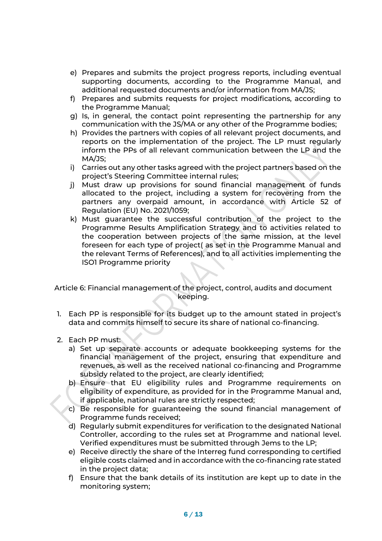- e) Prepares and submits the project progress reports, including eventual supporting documents, according to the Programme Manual, and additional requested documents and/or information from MA/JS;
- f) Prepares and submits requests for project modifications, according to the Programme Manual;
- g) Is, in general, the contact point representing the partnership for any communication with the JS/MA or any other of the Programme bodies;
- h) Provides the partners with copies of all relevant project documents, and reports on the implementation of the project. The LP must regularly inform the PPs of all relevant communication between the LP and the MA/JS;
- i) Carries out any other tasks agreed with the project partners based on the project's Steering Committee internal rules;
- j) Must draw up provisions for sound financial management of funds allocated to the project, including a system for recovering from the partners any overpaid amount, in accordance with Article 52 of Regulation (EU) No. 2021/1059;
- k) Must guarantee the successful contribution of the project to the Programme Results Amplification Strategy and to activities related to the cooperation between projects of the same mission, at the level foreseen for each type of project( as set in the Programme Manual and the relevant Terms of References), and to all activities implementing the ISO1 Programme priority

Article 6: Financial management of the project, control, audits and document keeping.

- 1. Each PP is responsible for its budget up to the amount stated in project's data and commits himself to secure its share of national co-financing.
- 2. Each PP must:
	- a) Set up separate accounts or adequate bookkeeping systems for the financial management of the project, ensuring that expenditure and revenues, as well as the received national co-financing and Programme subsidy related to the project, are clearly identified;
	- b) Ensure that EU eligibility rules and Programme requirements on eligibility of expenditure, as provided for in the Programme Manual and, if applicable, national rules are strictly respected;
	- c) Be responsible for guaranteeing the sound financial management of Programme funds received;
	- d) Regularly submit expenditures for verification to the designated National Controller, according to the rules set at Programme and national level. Verified expenditures must be submitted through Jems to the LP;
	- e) Receive directly the share of the Interreg fund corresponding to certified eligible costs claimed and in accordance with the co-financing rate stated in the project data;
	- f) Ensure that the bank details of its institution are kept up to date in the monitoring system;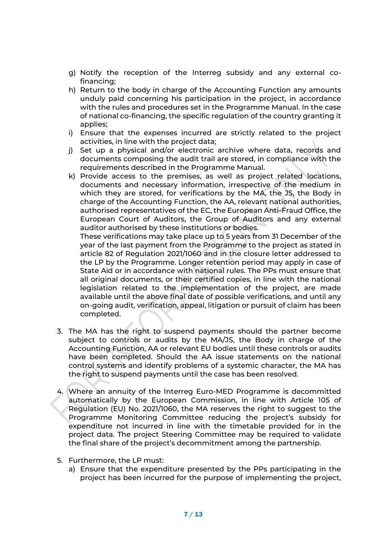- g) Notify the reception of the Interreg subsidy and any external cofinancing;
- h) Return to the body in charge of the Accounting Function any amounts unduly paid concerning his participation in the project, in accordance with the rules and procedures set in the Programme Manual. In the case of national co-financing, the specific regulation of the country granting it applies;
- i) Ensure that the expenses incurred are strictly related to the project activities, in line with the project data;
- j) Set up a physical and/or electronic archive where data, records and documents composing the audit trail are stored, in compliance with the requirements described in the Programme Manual.
- k) Provide access to the premises, as well as project related locations, documents and necessary information, irrespective of the medium in which they are stored, for verifications by the MA, the JS, the Body in charge of the Accounting Function, the AA, relevant national authorities, authorised representatives of the EC, the European Anti-Fraud Office, the European Court of Auditors, the Group of Auditors and any external auditor authorised by these institutions or bodies.

These verifications may take place up to 5 years from 31 December of the year of the last payment from the Programme to the project as stated in article 82 of Regulation 2021/1060 and in the closure letter addressed to the LP by the Programme. Longer retention period may apply in case of State Aid or in accordance with national rules. The PPs must ensure that all original documents, or their certified copies, in line with the national legislation related to the implementation of the project, are made available until the above final date of possible verifications, and until any on-going audit, verification, appeal, litigation or pursuit of claim has been completed.

- 3. The MA has the right to suspend payments should the partner become subject to controls or audits by the MA/JS, the Body in charge of the Accounting Function, AA or relevant EU bodies until these controls or audits have been completed. Should the AA issue statements on the national control systems and identify problems of a systemic character, the MA has the right to suspend payments until the case has been resolved.
- 4. Where an annuity of the Interreg Euro-MED Programme is decommitted automatically by the European Commission, in line with Article 105 of Regulation (EU) No. 2021/1060, the MA reserves the right to suggest to the Programme Monitoring Committee reducing the project's subsidy for expenditure not incurred in line with the timetable provided for in the project data. The project Steering Committee may be required to validate the final share of the project's decommitment among the partnership.
- 5. Furthermore, the LP must:
	- a) Ensure that the expenditure presented by the PPs participating in the project has been incurred for the purpose of implementing the project,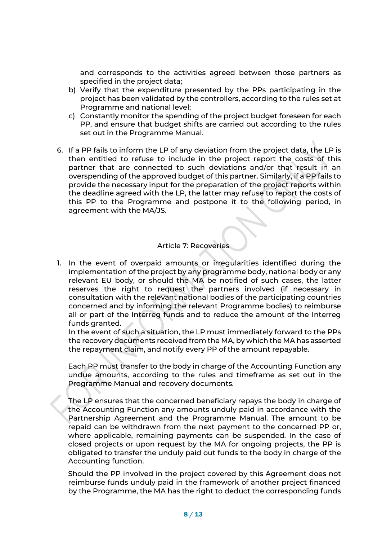and corresponds to the activities agreed between those partners as specified in the project data;

- b) Verify that the expenditure presented by the PPs participating in the project has been validated by the controllers, according to the rules set at Programme and national level;
- c) Constantly monitor the spending of the project budget foreseen for each PP, and ensure that budget shifts are carried out according to the rules set out in the Programme Manual.
- 6. If a PP fails to inform the LP of any deviation from the project data, the LP is then entitled to refuse to include in the project report the costs of this partner that are connected to such deviations and/or that result in an overspending of the approved budget of this partner. Similarly, if a PP fails to provide the necessary input for the preparation of the project reports within the deadline agreed with the LP, the latter may refuse to report the costs of this PP to the Programme and postpone it to the following period, in agreement with the MA/JS.

#### Article 7: Recoveries

1. In the event of overpaid amounts or irregularities identified during the implementation of the project by any programme body, national body or any relevant EU body, or should the MA be notified of such cases, the latter reserves the right to request the partners involved (if necessary in consultation with the relevant national bodies of the participating countries concerned and by informing the relevant Programme bodies) to reimburse all or part of the Interreg funds and to reduce the amount of the Interreg funds granted.

In the event of such a situation, the LP must immediately forward to the PPs the recovery documents received from the MA, by which the MA has asserted the repayment claim, and notify every PP of the amount repayable.

Each PP must transfer to the body in charge of the Accounting Function any undue amounts, according to the rules and timeframe as set out in the Programme Manual and recovery documents.

The LP ensures that the concerned beneficiary repays the body in charge of the Accounting Function any amounts unduly paid in accordance with the Partnership Agreement and the Programme Manual. The amount to be repaid can be withdrawn from the next payment to the concerned PP or, where applicable, remaining payments can be suspended. In the case of closed projects or upon request by the MA for ongoing projects, the PP is obligated to transfer the unduly paid out funds to the body in charge of the Accounting function.

Should the PP involved in the project covered by this Agreement does not reimburse funds unduly paid in the framework of another project financed by the Programme, the MA has the right to deduct the corresponding funds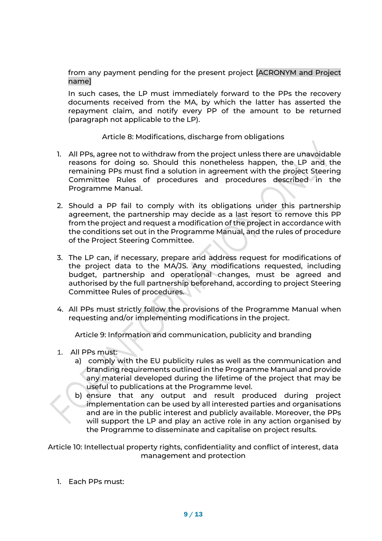from any payment pending for the present project [ACRONYM and Project name]

In such cases, the LP must immediately forward to the PPs the recovery documents received from the MA, by which the latter has asserted the repayment claim, and notify every PP of the amount to be returned (paragraph not applicable to the LP).

#### Article 8: Modifications, discharge from obligations

- 1. All PPs, agree not to withdraw from the project unless there are unavoidable reasons for doing so. Should this nonetheless happen, the LP and the remaining PPs must find a solution in agreement with the project Steering Committee Rules of procedures and procedures described in the Programme Manual.
- 2. Should a PP fail to comply with its obligations under this partnership agreement, the partnership may decide as a last resort to remove this PP from the project and request a modification of the project in accordance with the conditions set out in the Programme Manual, and the rules of procedure of the Project Steering Committee.
- 3. The LP can, if necessary, prepare and address request for modifications of the project data to the MA/JS. Any modifications requested, including budget, partnership and operational changes, must be agreed and authorised by the full partnership beforehand, according to project Steering Committee Rules of procedures.
- 4. All PPs must strictly follow the provisions of the Programme Manual when requesting and/or implementing modifications in the project.

Article 9: Information and communication, publicity and branding

- 1. All PPs must:
	- a) comply with the EU publicity rules as well as the communication and branding requirements outlined in the Programme Manual and provide any material developed during the lifetime of the project that may be useful to publications at the Programme level.
	- b) ensure that any output and result produced during project implementation can be used by all interested parties and organisations and are in the public interest and publicly available. Moreover, the PPs will support the LP and play an active role in any action organised by the Programme to disseminate and capitalise on project results.

Article 10: Intellectual property rights, confidentiality and conflict of interest, data management and protection

1. Each PPs must: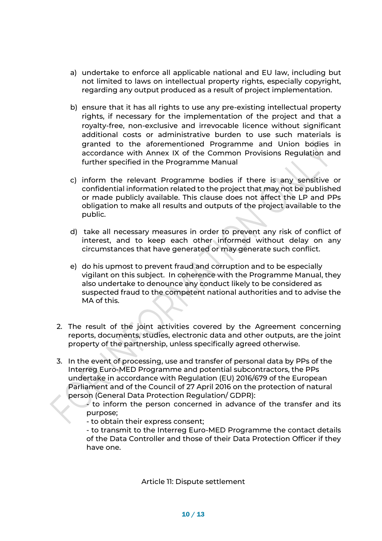- a) undertake to enforce all applicable national and EU law, including but not limited to laws on intellectual property rights, especially copyright, regarding any output produced as a result of project implementation.
- b) ensure that it has all rights to use any pre-existing intellectual property rights, if necessary for the implementation of the project and that a royalty-free, non-exclusive and irrevocable licence without significant additional costs or administrative burden to use such materials is granted to the aforementioned Programme and Union bodies in accordance with Annex IX of the Common Provisions Regulation and further specified in the Programme Manual
- c) inform the relevant Programme bodies if there is any sensitive or confidential information related to the project that may not be published or made publicly available. This clause does not affect the LP and PPs obligation to make all results and outputs of the project available to the public.
- d) take all necessary measures in order to prevent any risk of conflict of interest, and to keep each other informed without delay on any circumstances that have generated or may generate such conflict.
- e) do his upmost to prevent fraud and corruption and to be especially vigilant on this subject. In coherence with the Programme Manual, they also undertake to denounce any conduct likely to be considered as suspected fraud to the competent national authorities and to advise the MA of this.
- 2. The result of the joint activities covered by the Agreement concerning reports, documents, studies, electronic data and other outputs, are the joint property of the partnership, unless specifically agreed otherwise.
- 3. In the event of processing, use and transfer of personal data by PPs of the Interreg Euro-MED Programme and potential subcontractors, the PPs undertake in accordance with Regulation (EU) 2016/679 of the European Parliament and of the Council of 27 April 2016 on the protection of natural person (General Data Protection Regulation/ GDPR):

- to inform the person concerned in advance of the transfer and its purpose;

- to obtain their express consent;

- to transmit to the Interreg Euro-MED Programme the contact details of the Data Controller and those of their Data Protection Officer if they have one.

Article 11: Dispute settlement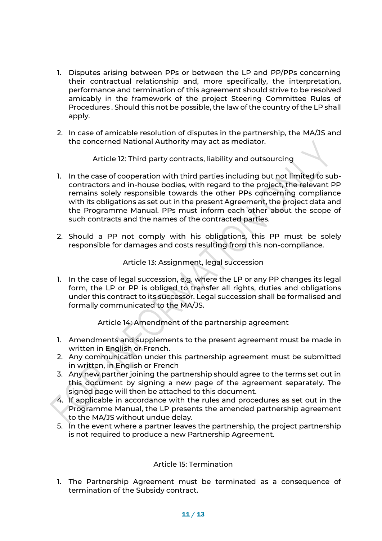- 1. Disputes arising between PPs or between the LP and PP/PPs concerning their contractual relationship and, more specifically, the interpretation, performance and termination of this agreement should strive to be resolved amicably in the framework of the project Steering Committee Rules of Procedures . Should this not be possible, the law of the country of the LP shall apply.
- 2. In case of amicable resolution of disputes in the partnership, the MA/JS and the concerned National Authority may act as mediator.

Article 12: Third party contracts, liability and outsourcing

- 1. In the case of cooperation with third parties including but not limited to subcontractors and in-house bodies, with regard to the project, the relevant PP remains solely responsible towards the other PPs concerning compliance with its obligations as set out in the present Agreement, the project data and the Programme Manual. PPs must inform each other about the scope of such contracts and the names of the contracted parties.
- 2. Should a PP not comply with his obligations, this PP must be solely responsible for damages and costs resulting from this non-compliance.

#### Article 13: Assignment, legal succession

1. In the case of legal succession, e.g. where the LP or any PP changes its legal form, the LP or PP is obliged to transfer all rights, duties and obligations under this contract to its successor. Legal succession shall be formalised and formally communicated to the MA/JS.

Article 14: Amendment of the partnership agreement

- 1. Amendments and supplements to the present agreement must be made in written in English or French.
- 2. Any communication under this partnership agreement must be submitted in written, in English or French
- 3. Any new partner joining the partnership should agree to the terms set out in this document by signing a new page of the agreement separately. The signed page will then be attached to this document.
- 4. If applicable in accordance with the rules and procedures as set out in the Programme Manual, the LP presents the amended partnership agreement to the MA/JS without undue delay.
- 5. In the event where a partner leaves the partnership, the project partnership is not required to produce a new Partnership Agreement.

#### Article 15: Termination

1. The Partnership Agreement must be terminated as a consequence of termination of the Subsidy contract.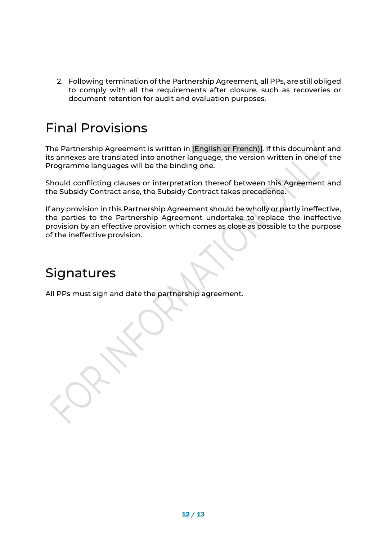2. Following termination of the Partnership Agreement, all PPs, are still obliged to comply with all the requirements after closure, such as recoveries or document retention for audit and evaluation purposes.

### Final Provisions

The Partnership Agreement is written in [English or French)]. If this document and its annexes are translated into another language, the version written in one of the Programme languages will be the binding one.

Should conflicting clauses or interpretation thereof between this Agreement and the Subsidy Contract arise, the Subsidy Contract takes precedence.

If any provision in this Partnership Agreement should be wholly or partly ineffective, the parties to the Partnership Agreement undertake to replace the ineffective provision by an effective provision which comes as close as possible to the purpose of the ineffective provision.

### **Signatures**

All PPs must sign and date the partnership agreement.